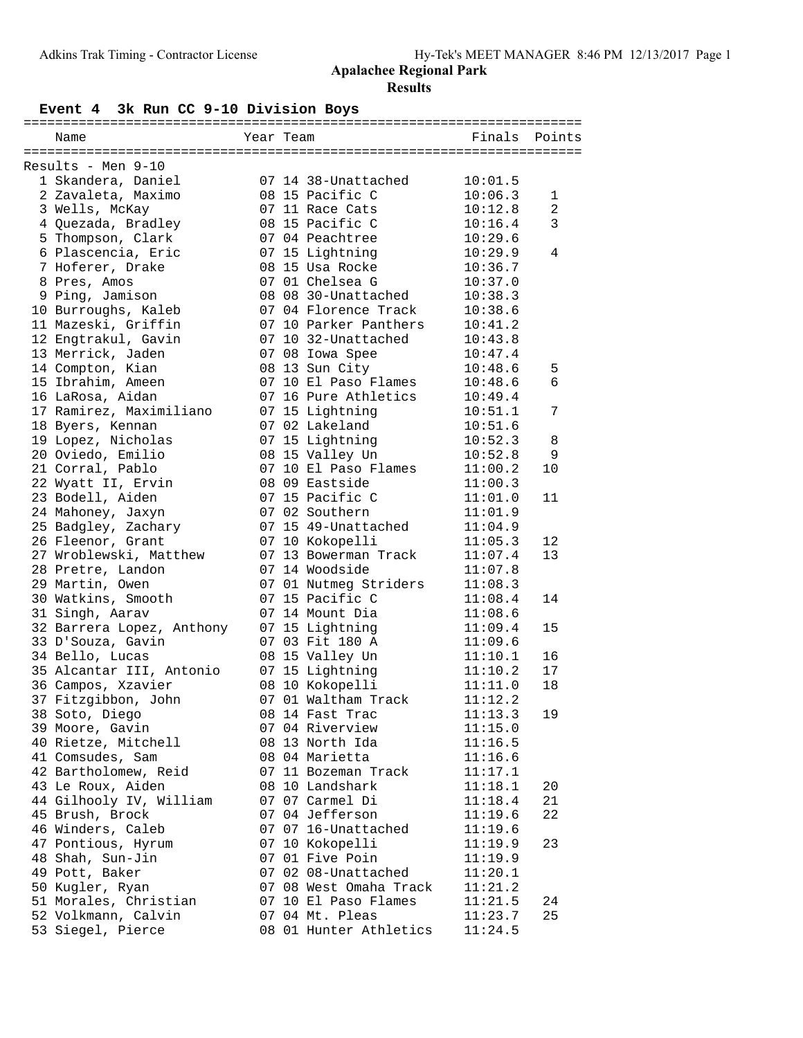# **Event 4 3k Run CC 9-10 Division Boys**

| Name                      | Year Team |                                          | Finals  | Points         |
|---------------------------|-----------|------------------------------------------|---------|----------------|
|                           |           |                                          |         |                |
| Results - Men 9-10        |           |                                          |         |                |
| 1 Skandera, Daniel        |           | 07 14 38-Unattached                      | 10:01.5 |                |
| 2 Zavaleta, Maximo        |           | 08 15 Pacific C                          | 10:06.3 | $\mathbf 1$    |
| 3 Wells, McKay            |           | 07 11 Race Cats                          | 10:12.8 | $\overline{a}$ |
| 4 Quezada, Bradley        |           | 08 15 Pacific C                          | 10:16.4 | $\mathbf{3}$   |
| 5 Thompson, Clark         |           | 07 04 Peachtree                          | 10:29.6 |                |
| 6 Plascencia, Eric        |           | 07 15 Lightning                          | 10:29.9 | 4              |
| 7 Hoferer, Drake          |           | 08 15 Usa Rocke                          | 10:36.7 |                |
| 8 Pres, Amos              |           | 07 01 Chelsea G                          | 10:37.0 |                |
| 9 Ping, Jamison           |           | 08 08 30-Unattached                      | 10:38.3 |                |
| 10 Burroughs, Kaleb       |           | 07 04 Florence Track                     | 10:38.6 |                |
| 11 Mazeski, Griffin       |           | 07 10 Parker Panthers                    | 10:41.2 |                |
| 12 Engtrakul, Gavin       |           | 07 10 32-Unattached                      | 10:43.8 |                |
| 13 Merrick, Jaden         |           | 07 08 Iowa Spee                          | 10:47.4 |                |
| 14 Compton, Kian          |           | 08 13 Sun City                           | 10:48.6 | 5              |
| 15 Ibrahim, Ameen         |           | 07 10 El Paso Flames                     | 10:48.6 | 6              |
| 16 LaRosa, Aidan          |           | 07 16 Pure Athletics                     | 10:49.4 |                |
| 17 Ramirez, Maximiliano   |           | 07 15 Lightning                          | 10:51.1 | 7              |
| 18 Byers, Kennan          |           | 07 02 Lakeland                           | 10:51.6 |                |
| 19 Lopez, Nicholas        |           | 07 15 Lightning                          | 10:52.3 | 8              |
| 20 Oviedo, Emilio         |           | 08 15 Valley Un                          | 10:52.8 | 9              |
| 21 Corral, Pablo          |           | 07 10 El Paso Flames                     | 11:00.2 | 10             |
| 22 Wyatt II, Ervin        |           | 08 09 Eastside                           | 11:00.3 |                |
| 23 Bodell, Aiden          |           | 07 15 Pacific C                          | 11:01.0 | 11             |
| 24 Mahoney, Jaxyn         |           | 07 02 Southern                           | 11:01.9 |                |
| 25 Badgley, Zachary       |           | 07 15 49-Unattached                      | 11:04.9 |                |
| 26 Fleenor, Grant         |           | 07 10 Kokopelli                          | 11:05.3 | 12             |
| 27 Wroblewski, Matthew    |           | 07 13 Bowerman Track                     | 11:07.4 | 13             |
| 28 Pretre, Landon         |           | 07 14 Woodside                           | 11:07.8 |                |
|                           |           |                                          | 11:08.3 |                |
| 29 Martin, Owen           |           | 07 01 Nutmeg Striders<br>07 15 Pacific C |         | 14             |
| 30 Watkins, Smooth        |           | 07 14 Mount Dia                          | 11:08.4 |                |
| 31 Singh, Aarav           |           |                                          | 11:08.6 |                |
| 32 Barrera Lopez, Anthony |           | 07 15 Lightning                          | 11:09.4 | 15             |
| 33 D'Souza, Gavin         |           | 07 03 Fit 180 A                          | 11:09.6 |                |
| 34 Bello, Lucas           |           | 08 15 Valley Un                          | 11:10.1 | 16             |
| 35 Alcantar III, Antonio  |           | 07 15 Lightning                          | 11:10.2 | 17             |
| 36 Campos, Xzavier        |           | 08 10 Kokopelli                          | 11:11.0 | 18             |
| 37 Fitzgibbon, John       |           | 07 01 Waltham Track                      | 11:12.2 |                |
| 38 Soto, Diego            |           | 08 14 Fast Trac                          | 11:13.3 | 19             |
| 39 Moore, Gavin           |           | 07 04 Riverview                          | 11:15.0 |                |
| 40 Rietze, Mitchell       |           | 08 13 North Ida                          | 11:16.5 |                |
| 41 Comsudes, Sam          |           | 08 04 Marietta                           | 11:16.6 |                |
| 42 Bartholomew, Reid      |           | 07 11 Bozeman Track                      | 11:17.1 |                |
| 43 Le Roux, Aiden         |           | 08 10 Landshark                          | 11:18.1 | 20             |
| 44 Gilhooly IV, William   |           | 07 07 Carmel Di                          | 11:18.4 | 21             |
| 45 Brush, Brock           |           | 07 04 Jefferson                          | 11:19.6 | 22             |
| 46 Winders, Caleb         |           | 07 07 16-Unattached                      | 11:19.6 |                |
| 47 Pontious, Hyrum        |           | 07 10 Kokopelli                          | 11:19.9 | 23             |
| 48 Shah, Sun-Jin          |           | 07 01 Five Poin                          | 11:19.9 |                |
| 49 Pott, Baker            |           | 07 02 08-Unattached                      | 11:20.1 |                |
| 50 Kugler, Ryan           |           | 07 08 West Omaha Track                   | 11:21.2 |                |
| 51 Morales, Christian     |           | 07 10 El Paso Flames                     | 11:21.5 | 24             |
| 52 Volkmann, Calvin       |           | 07 04 Mt. Pleas                          | 11:23.7 | 25             |
| 53 Siegel, Pierce         |           | 08 01 Hunter Athletics                   | 11:24.5 |                |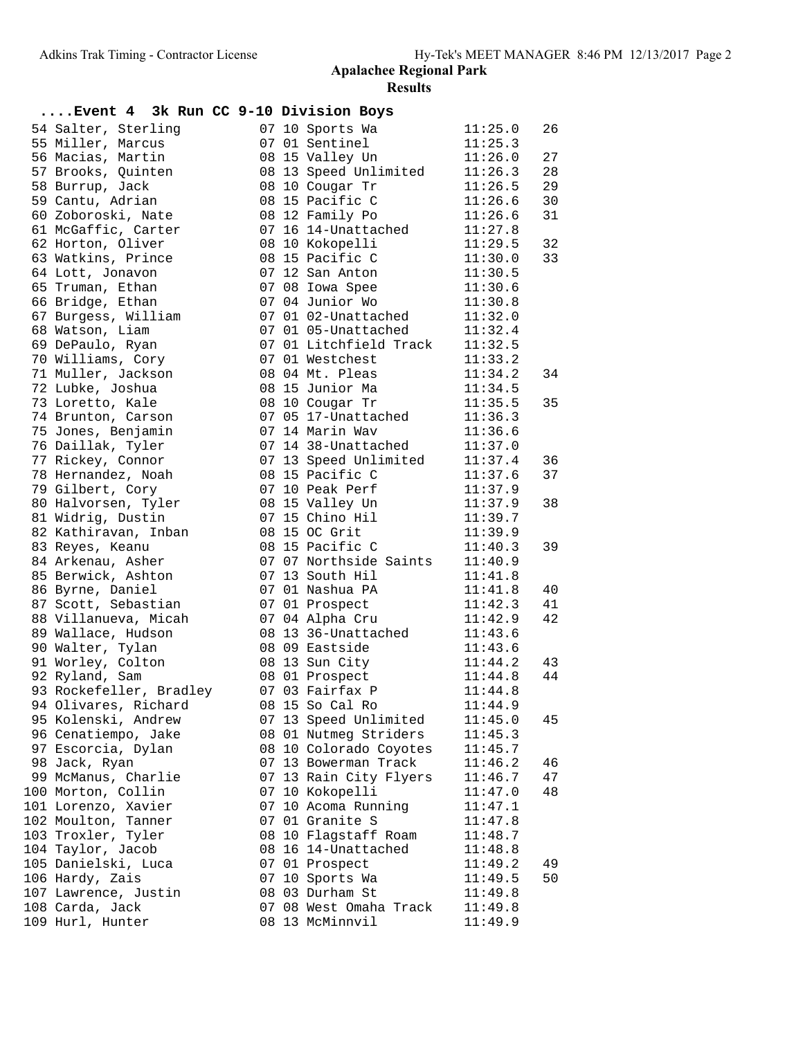| Event 4 3k Run CC 9-10 Division Boys            |  |                                   |                    |          |
|-------------------------------------------------|--|-----------------------------------|--------------------|----------|
| 54 Salter, Sterling                             |  | 07 10 Sports Wa                   | 11:25.0            | 26       |
| 55 Miller, Marcus                               |  | 07 01 Sentinel                    | 11:25.3            |          |
| 56 Macias, Martin                               |  | 08 15 Valley Un                   | 11:26.0            | 27       |
| 57 Brooks, Quinten                              |  | 08 13 Speed Unlimited             | 11:26.3            | 28       |
| 58 Burrup, Jack                                 |  | 08 10 Cougar Tr                   | 11:26.5            | 29       |
| 59 Cantu, Adrian                                |  | 08 15 Pacific C                   | 11:26.6            | 30       |
| 60 Zoboroski, Nate                              |  | 08 12 Family Po                   | 11:26.6            | 31       |
| 61 McGaffic, Carter                             |  | 07 16 14-Unattached               | 11:27.8            |          |
| 62 Horton, Oliver                               |  | 08 10 Kokopelli                   | 11:29.5            | 32       |
| 63 Watkins, Prince                              |  | 08 15 Pacific C                   | 11:30.0            | 33       |
| 64 Lott, Jonavon                                |  | 07 12 San Anton                   | 11:30.5            |          |
| 65 Truman, Ethan                                |  | 07 08 Iowa Spee                   | 11:30.6            |          |
| 66 Bridge, Ethan                                |  | 07 04 Junior Wo                   | 11:30.8            |          |
| 67 Burgess, William                             |  | 07 01 02-Unattached               | 11:32.0            |          |
| 68 Watson, Liam                                 |  | 07 01 05-Unattached               | 11:32.4            |          |
| 69 DePaulo, Ryan                                |  | 07 01 Litchfield Track            | 11:32.5            |          |
| 70 Williams, Cory                               |  | 07 01 Westchest                   | 11:33.2            |          |
| 71 Muller, Jackson                              |  | 08 04 Mt. Pleas                   | 11:34.2            | 34       |
| 72 Lubke, Joshua                                |  | 08 15 Junior Ma                   | 11:34.5            |          |
| 73 Loretto, Kale                                |  | 08 10 Cougar Tr                   | 11:35.5            | 35       |
| 74 Brunton, Carson                              |  | 07 05 17-Unattached               | 11:36.3            |          |
| 75 Jones, Benjamin                              |  | 07 14 Marin Wav                   | 11:36.6            |          |
| 76 Daillak, Tyler                               |  | 07 14 38-Unattached               | 11:37.0            |          |
| 77 Rickey, Connor                               |  | 07 13 Speed Unlimited             | 11:37.4            | 36       |
| 78 Hernandez, Noah                              |  | 08 15 Pacific C                   | 11:37.6            | 37       |
| 79 Gilbert, Cory                                |  | 07 10 Peak Perf                   | 11:37.9            |          |
| 80 Halvorsen, Tyler                             |  | 08 15 Valley Un                   | 11:37.9            | 38       |
| 81 Widrig, Dustin                               |  | 07 15 Chino Hil                   | 11:39.7            |          |
| 82 Kathiravan, Inban                            |  | 08 15 OC Grit                     | 11:39.9            |          |
| 83 Reyes, Keanu                                 |  | 08 15 Pacific C                   | 11:40.3            | 39       |
| 84 Arkenau, Asher                               |  | 07 07 Northside Saints            | 11:40.9            |          |
| 85 Berwick, Ashton                              |  | 07 13 South Hil                   | 11:41.8            |          |
| 86 Byrne, Daniel                                |  | 07 01 Nashua PA                   | 11:41.8            | 40       |
| 87 Scott, Sebastian                             |  | 07 01 Prospect                    | 11:42.3            | 41       |
| 88 Villanueva, Micah                            |  | 07 04 Alpha Cru                   | 11:42.9            | 42       |
| 89 Wallace, Hudson                              |  | 08 13 36-Unattached               | 11:43.6            |          |
| 90 Walter, Tylan                                |  | 08 09 Eastside                    | 11:43.6<br>11:44.2 |          |
| 91 Worley, Colton<br>92 Ryland, Sam             |  | 08 13 Sun City                    | 11:44.8            | 43<br>44 |
|                                                 |  | 08 01 Prospect<br>07 03 Fairfax P |                    |          |
| 93 Rockefeller, Bradley<br>94 Olivares, Richard |  | 08 15 So Cal Ro                   | 11:44.8<br>11:44.9 |          |
| 95 Kolenski, Andrew                             |  | 07 13 Speed Unlimited             | 11:45.0            | 45       |
| 96 Cenatiempo, Jake                             |  | 08 01 Nutmeg Striders             |                    |          |
| 97 Escorcia, Dylan                              |  | 08 10 Colorado Coyotes            | 11:45.3<br>11:45.7 |          |
| 98 Jack, Ryan                                   |  | 07 13 Bowerman Track              | 11:46.2            | 46       |
| 99 McManus, Charlie                             |  | 07 13 Rain City Flyers            | 11:46.7            | 47       |
| 100 Morton, Collin                              |  | 07 10 Kokopelli                   | 11:47.0            | 48       |
| 101 Lorenzo, Xavier                             |  | 07 10 Acoma Running               | 11:47.1            |          |
| 102 Moulton, Tanner                             |  | 07 01 Granite S                   | 11:47.8            |          |
| 103 Troxler, Tyler                              |  | 08 10 Flagstaff Roam              | 11:48.7            |          |
| 104 Taylor, Jacob                               |  | 08 16 14-Unattached               | 11:48.8            |          |
| 105 Danielski, Luca                             |  | 07 01 Prospect                    | 11:49.2            | 49       |
| 106 Hardy, Zais                                 |  | 07 10 Sports Wa                   | 11:49.5            | 50       |
| 107 Lawrence, Justin                            |  | 08 03 Durham St                   | 11:49.8            |          |
| 108 Carda, Jack                                 |  | 07 08 West Omaha Track            | 11:49.8            |          |
| 109 Hurl, Hunter                                |  | 08 13 McMinnvil                   | 11:49.9            |          |
|                                                 |  |                                   |                    |          |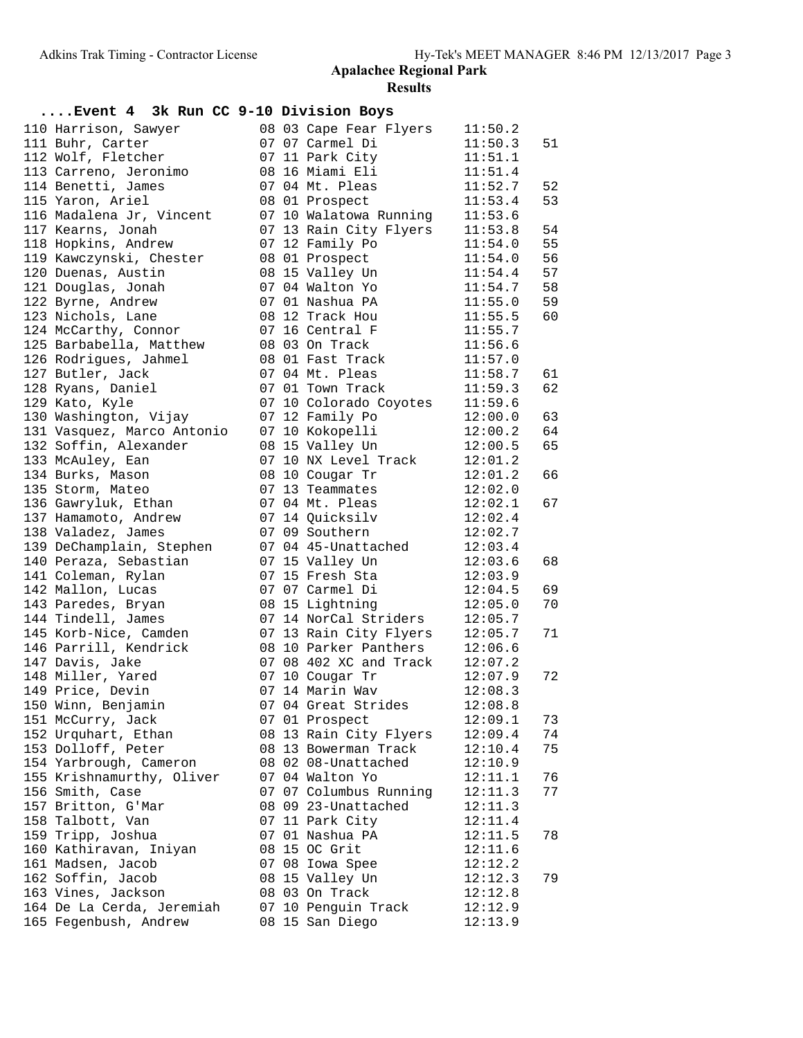| Event 4 3k Run CC 9-10 Division Boys |  |                                |         |    |
|--------------------------------------|--|--------------------------------|---------|----|
| 110 Harrison, Sawyer                 |  | 08 03 Cape Fear Flyers         | 11:50.2 |    |
| 111 Buhr, Carter                     |  | 07 07 Carmel Di                | 11:50.3 | 51 |
| 112 Wolf, Fletcher                   |  | 07 11 Park City                | 11:51.1 |    |
| 113 Carreno, Jeronimo                |  | 08 16 Miami Eli                | 11:51.4 |    |
| 114 Benetti, James                   |  | 07 04 Mt. Pleas                | 11:52.7 | 52 |
| 115 Yaron, Ariel                     |  | 08 01 Prospect                 | 11:53.4 | 53 |
| 116 Madalena Jr, Vincent             |  | 07 10 Walatowa Running         | 11:53.6 |    |
| 117 Kearns, Jonah                    |  | 07 13 Rain City Flyers         | 11:53.8 | 54 |
| 118 Hopkins, Andrew                  |  | 07 12 Family Po                | 11:54.0 | 55 |
| 119 Kawczynski, Chester              |  | 08 01 Prospect                 | 11:54.0 | 56 |
| 120 Duenas, Austin                   |  | 08 15 Valley Un                | 11:54.4 | 57 |
| 121 Douglas, Jonah                   |  | 07 04 Walton Yo                | 11:54.7 | 58 |
| 122 Byrne, Andrew                    |  | 07 01 Nashua PA                | 11:55.0 | 59 |
| 123 Nichols, Lane                    |  | 08 12 Track Hou                | 11:55.5 | 60 |
| 124 McCarthy, Connor                 |  | 07 16 Central F                | 11:55.7 |    |
| 125 Barbabella, Matthew              |  | 08 03 On Track                 | 11:56.6 |    |
| 126 Rodrigues, Jahmel                |  | 08 01 Fast Track               | 11:57.0 |    |
| 127 Butler, Jack                     |  | 07 04 Mt. Pleas                | 11:58.7 | 61 |
| 128 Ryans, Daniel                    |  | 07 01 Town Track               | 11:59.3 | 62 |
| 129 Kato, Kyle                       |  | 07 10 Colorado Coyotes         | 11:59.6 |    |
| 130 Washington, Vijay                |  | 07 12 Family Po                | 12:00.0 | 63 |
| 131 Vasquez, Marco Antonio           |  | 07 10 Kokopelli                | 12:00.2 | 64 |
| 132 Soffin, Alexander                |  | 08 15 Valley Un                | 12:00.5 | 65 |
| 133 McAuley, Ean                     |  | 07 10 NX Level Track           | 12:01.2 |    |
| 134 Burks, Mason                     |  | 08 10 Cougar Tr                | 12:01.2 | 66 |
| 135 Storm, Mateo                     |  | 07 13 Teammates                | 12:02.0 |    |
| 136 Gawryluk, Ethan                  |  | 07 04 Mt. Pleas                | 12:02.1 | 67 |
| 137 Hamamoto, Andrew                 |  | 07 14 Quicksilv                | 12:02.4 |    |
| 138 Valadez, James                   |  | 07 09 Southern                 | 12:02.7 |    |
| 139 DeChamplain, Stephen             |  | 07 04 45-Unattached            | 12:03.4 |    |
| 140 Peraza, Sebastian                |  | 07 15 Valley Un                | 12:03.6 | 68 |
| 141 Coleman, Rylan                   |  | 07 15 Fresh Sta                | 12:03.9 |    |
| 142 Mallon, Lucas                    |  | 07 07 Carmel Di                | 12:04.5 | 69 |
| 143 Paredes, Bryan                   |  | 08 15 Lightning                | 12:05.0 | 70 |
| 144 Tindell, James                   |  | 07 14 NorCal Striders          | 12:05.7 |    |
| 145 Korb-Nice, Camden                |  | 07 13 Rain City Flyers 12:05.7 |         | 71 |
| 146 Parrill, Kendrick                |  | 08 10 Parker Panthers          | 12:06.6 |    |
| 147 Davis, Jake                      |  | 07 08 402 XC and Track 12:07.2 |         |    |
| 148 Miller, Yared                    |  | 07 10 Cougar Tr                | 12:07.9 | 72 |
| 149 Price, Devin                     |  | 07 14 Marin Wav                | 12:08.3 |    |
| 150 Winn, Benjamin                   |  | 07 04 Great Strides            | 12:08.8 |    |
| 151 McCurry, Jack                    |  | 07 01 Prospect                 | 12:09.1 | 73 |
| 152 Urquhart, Ethan                  |  | 08 13 Rain City Flyers         | 12:09.4 | 74 |
| 153 Dolloff, Peter                   |  | 08 13 Bowerman Track           | 12:10.4 | 75 |
| 154 Yarbrough, Cameron               |  | 08 02 08-Unattached            | 12:10.9 |    |
| 155 Krishnamurthy, Oliver            |  | 07 04 Walton Yo                | 12:11.1 | 76 |
| 156 Smith, Case                      |  | 07 07 Columbus Running         | 12:11.3 | 77 |
| 157 Britton, G'Mar                   |  | 08 09 23-Unattached            | 12:11.3 |    |
| 158 Talbott, Van                     |  | 07 11 Park City                | 12:11.4 |    |
| 159 Tripp, Joshua                    |  | 07 01 Nashua PA                | 12:11.5 | 78 |
| 160 Kathiravan, Iniyan               |  | 08 15 OC Grit                  | 12:11.6 |    |
| 161 Madsen, Jacob                    |  | 07 08 Iowa Spee                | 12:12.2 |    |
| 162 Soffin, Jacob                    |  | 08 15 Valley Un                | 12:12.3 | 79 |
| 163 Vines, Jackson                   |  | 08 03 On Track                 | 12:12.8 |    |
| 164 De La Cerda, Jeremiah            |  | 07 10 Penguin Track            | 12:12.9 |    |
| 165 Fegenbush, Andrew                |  | 08 15 San Diego                | 12:13.9 |    |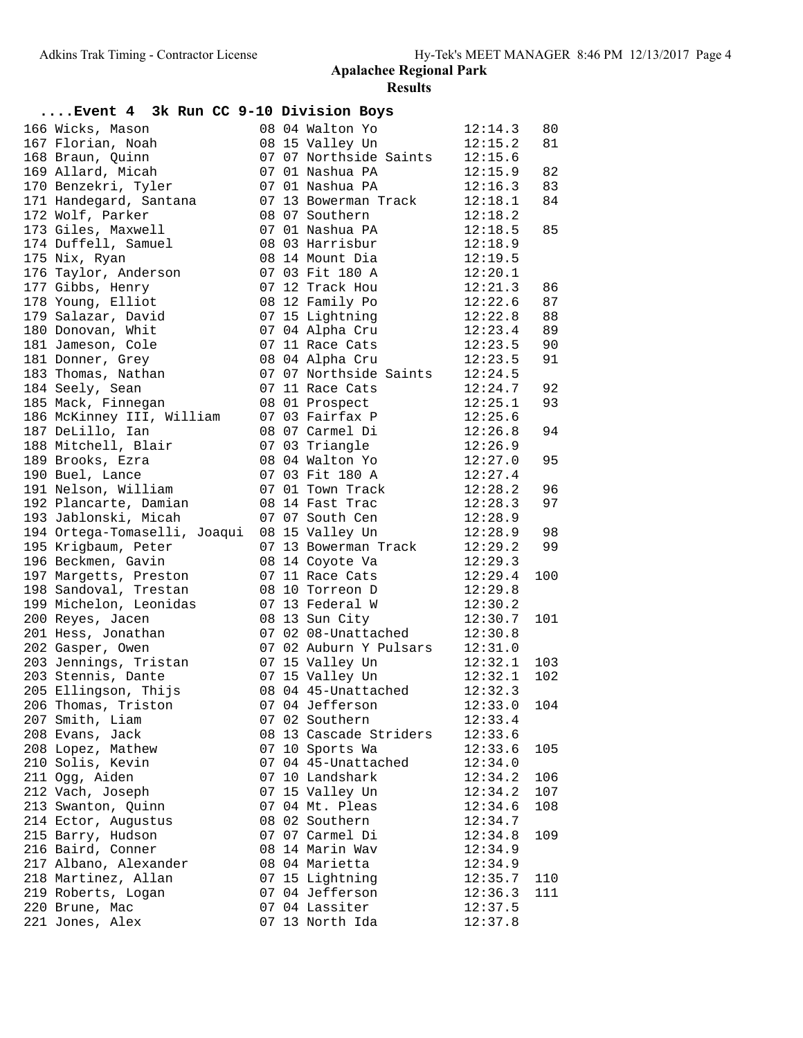| Event 4 3k Run CC 9-10 Division Boys |  |                        |         |     |
|--------------------------------------|--|------------------------|---------|-----|
| 166 Wicks, Mason                     |  | 08 04 Walton Yo        | 12:14.3 | 80  |
| 167 Florian, Noah                    |  | 08 15 Valley Un        | 12:15.2 | 81  |
| 168 Braun, Quinn                     |  | 07 07 Northside Saints | 12:15.6 |     |
| 169 Allard, Micah                    |  | 07 01 Nashua PA        | 12:15.9 | 82  |
| 170 Benzekri, Tyler                  |  | 07 01 Nashua PA        | 12:16.3 | 83  |
| 171 Handegard, Santana               |  | 07 13 Bowerman Track   | 12:18.1 | 84  |
| 172 Wolf, Parker                     |  | 08 07 Southern         | 12:18.2 |     |
| 173 Giles, Maxwell                   |  | 07 01 Nashua PA        | 12:18.5 | 85  |
| 174 Duffell, Samuel                  |  | 08 03 Harrisbur        | 12:18.9 |     |
| 175 Nix, Ryan                        |  | 08 14 Mount Dia        | 12:19.5 |     |
| 176 Taylor, Anderson                 |  | 07 03 Fit 180 A        | 12:20.1 |     |
| 177 Gibbs, Henry                     |  | 07 12 Track Hou        | 12:21.3 | 86  |
| 178 Young, Elliot                    |  | 08 12 Family Po        | 12:22.6 | 87  |
| 179 Salazar, David                   |  | 07 15 Lightning        | 12:22.8 | 88  |
| 180 Donovan, Whit                    |  | 07 04 Alpha Cru        | 12:23.4 | 89  |
| 181 Jameson, Cole                    |  | 07 11 Race Cats        | 12:23.5 | 90  |
| 181 Donner, Grey                     |  | 08 04 Alpha Cru        | 12:23.5 | 91  |
| 183 Thomas, Nathan                   |  | 07 07 Northside Saints | 12:24.5 |     |
| 184 Seely, Sean                      |  | 07 11 Race Cats        | 12:24.7 | 92  |
| 185 Mack, Finnegan                   |  | 08 01 Prospect         | 12:25.1 | 93  |
|                                      |  | 07 03 Fairfax P        |         |     |
| 186 McKinney III, William            |  |                        | 12:25.6 |     |
| 187 DeLillo, Ian                     |  | 08 07 Carmel Di        | 12:26.8 | 94  |
| 188 Mitchell, Blair                  |  | 07 03 Triangle         | 12:26.9 |     |
| 189 Brooks, Ezra                     |  | 08 04 Walton Yo        | 12:27.0 | 95  |
| 190 Buel, Lance                      |  | 07 03 Fit 180 A        | 12:27.4 |     |
| 191 Nelson, William                  |  | 07 01 Town Track       | 12:28.2 | 96  |
| 192 Plancarte, Damian                |  | 08 14 Fast Trac        | 12:28.3 | 97  |
| 193 Jablonski, Micah                 |  | 07 07 South Cen        | 12:28.9 |     |
| 194 Ortega-Tomaselli, Joaqui         |  | 08 15 Valley Un        | 12:28.9 | 98  |
| 195 Krigbaum, Peter                  |  | 07 13 Bowerman Track   | 12:29.2 | 99  |
| 196 Beckmen, Gavin                   |  | 08 14 Coyote Va        | 12:29.3 |     |
| 197 Margetts, Preston                |  | 07 11 Race Cats        | 12:29.4 | 100 |
| 198 Sandoval, Trestan                |  | 08 10 Torreon D        | 12:29.8 |     |
| 199 Michelon, Leonidas               |  | 07 13 Federal W        | 12:30.2 |     |
| 200 Reyes, Jacen                     |  | 08 13 Sun City         | 12:30.7 | 101 |
| 201 Hess, Jonathan                   |  | 07 02 08-Unattached    | 12:30.8 |     |
| 202 Gasper, Owen                     |  | 07 02 Auburn Y Pulsars | 12:31.0 |     |
| 203 Jennings, Tristan                |  | 07 15 Valley Un        | 12:32.1 | 103 |
| 203 Stennis, Dante                   |  | 07 15 Valley Un        | 12:32.1 | 102 |
| 205 Ellingson, Thijs                 |  | 08 04 45-Unattached    | 12:32.3 |     |
| 206 Thomas, Triston                  |  | 07 04 Jefferson        | 12:33.0 | 104 |
| 207 Smith, Liam                      |  | 07 02 Southern         | 12:33.4 |     |
| 208 Evans, Jack                      |  | 08 13 Cascade Striders | 12:33.6 |     |
| 208 Lopez, Mathew                    |  | 07 10 Sports Wa        | 12:33.6 | 105 |
| 210 Solis, Kevin                     |  | 07 04 45-Unattached    | 12:34.0 |     |
| 211 Ogg, Aiden                       |  | 07 10 Landshark        | 12:34.2 | 106 |
| 212 Vach, Joseph                     |  | 07 15 Valley Un        | 12:34.2 | 107 |
| 213 Swanton, Quinn                   |  | 07 04 Mt. Pleas        | 12:34.6 | 108 |
| 214 Ector, Augustus                  |  | 08 02 Southern         | 12:34.7 |     |
| 215 Barry, Hudson                    |  | 07 07 Carmel Di        | 12:34.8 | 109 |
| 216 Baird, Conner                    |  | 08 14 Marin Wav        | 12:34.9 |     |
| 217 Albano, Alexander                |  | 08 04 Marietta         | 12:34.9 |     |
| 218 Martinez, Allan                  |  | 07 15 Lightning        | 12:35.7 | 110 |
| 219 Roberts, Logan                   |  | 07 04 Jefferson        | 12:36.3 | 111 |
| 220 Brune, Mac                       |  | 07 04 Lassiter         | 12:37.5 |     |
| 221 Jones, Alex                      |  | 07 13 North Ida        | 12:37.8 |     |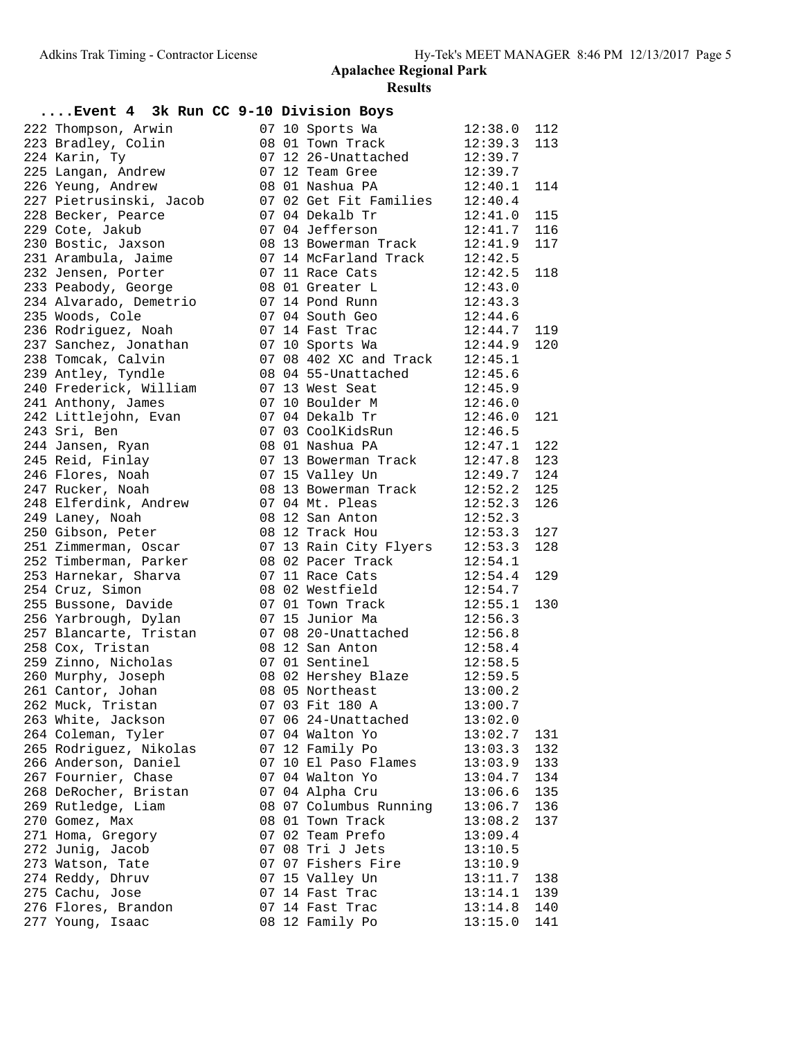| Event 4 3k Run CC 9-10 Division Boys                   |  |                                                                                   |                     |     |
|--------------------------------------------------------|--|-----------------------------------------------------------------------------------|---------------------|-----|
| 222 Thompson, Arwin                                    |  | 07 10 Sports Wa 12:38.0                                                           |                     | 112 |
| 223 Bradley, Colin                                     |  | 08 01 Town Track                                                                  | 12:39.3             | 113 |
| 224 Karin, Ty                                          |  |                                                                                   |                     |     |
| 225 Langan, Andrew                                     |  |                                                                                   |                     |     |
| 226 Yeung, Andrew                                      |  | 07 12 26-Unattached 12:39.7<br>07 12 Team Gree 12:39.7<br>08 01 Nashua PA 12:40.1 |                     | 114 |
| 227 Pietrusinski, Jacob 07 02 Get Fit Families 12:40.4 |  |                                                                                   |                     |     |
| 228 Becker, Pearce                                     |  | 07 04 Dekalb Tr                                                                   | 12:41.0             | 115 |
| 229 Cote, Jakub                                        |  | 07 04 Jefferson                                                                   | $12:41.7$ 116       |     |
| 230 Bostic, Jaxson                                     |  | 08 13 Bowerman Track                                                              | 12:41.9             | 117 |
| 231 Arambula, Jaime                                    |  | 07 14 McFarland Track                                                             | 12:42.5             |     |
| 232 Jensen, Porter                                     |  | 07 11 Race Cats                                                                   | 12:42.5             | 118 |
| 233 Peabody, George                                    |  | 08 01 Greater L 12:43.0                                                           |                     |     |
| 234 Alvarado, Demetrio                                 |  | 07 14 Pond Runn 12:43.3                                                           |                     |     |
| 235 Woods, Cole                                        |  | 07 04 South Geo                                                                   | 12:44.6             |     |
| 236 Rodriguez, Noah                                    |  | 07 14 Fast Trac                                                                   | 12:44.7             | 119 |
| 237 Sanchez, Jonathan                                  |  | 07 10 Sports Wa                                                                   | 12:44.9             | 120 |
| 238 Tomcak, Calvin                                     |  | 07 08 402 XC and Track 12:45.1                                                    |                     |     |
| 239 Antley, Tyndle                                     |  | 08 04 55-Unattached 12:45.6                                                       |                     |     |
| 240 Frederick, William 07 13 West Seat 12:45.9         |  |                                                                                   |                     |     |
| 241 Anthony, James                                     |  | 07 10 Boulder M 12:46.0                                                           |                     |     |
| 242 Littlejohn, Evan                                   |  | 07 04 Dekalb Tr                                                                   | 12:46.0             | 121 |
| 243 Sri, Ben                                           |  | 07 03 CoolkidsRun<br>07 03 CoolkidsRun<br>08 01 Nashua PA 12:47.1                 |                     |     |
| 244 Jansen, Ryan                                       |  |                                                                                   |                     | 122 |
| 245 Reid, Finlay                                       |  | 07 13 Bowerman Track 12:47.8                                                      |                     | 123 |
| 246 Flores, Noah                                       |  | 07 15 Valley Un                                                                   | 12:49.7             | 124 |
| 247 Rucker, Noah                                       |  |                                                                                   |                     | 125 |
|                                                        |  | 08 13 Bowerman Track 12:52.2<br>07 04 Mt. Pleas                                   | 12:52.3             | 126 |
| 248 Elferdink, Andrew<br>249 Laney, Noah               |  | 08 12 San Anton                                                                   | $\frac{1}{12:52.3}$ |     |
| 250 Gibson, Peter                                      |  | 08 12 Track Hou                                                                   | 12:53.3             | 127 |
| 251 Zimmerman, Oscar                                   |  | 07 13 Rain City Flyers 12:53.3                                                    |                     | 128 |
|                                                        |  |                                                                                   |                     |     |
| 252 Timberman, Parker                                  |  | 08 02 Pacer Track 12:54.1                                                         |                     |     |
| 253 Harnekar, Sharva                                   |  | 07 11 Race Cats                                                                   | 12:54.4             | 129 |
| 254 Cruz, Simon                                        |  | 08 02 Westfield<br>07 01 Town Track                                               | 12:54.7<br>12:55.1  |     |
| 255 Bussone, Davide                                    |  | 07 15 Junior Ma                                                                   | 12:56.3             | 130 |
| 256 Yarbrough, Dylan                                   |  | 07 08 20-Unattached 12:56.8                                                       |                     |     |
| 257 Blancarte, Tristan                                 |  |                                                                                   |                     |     |
| 258 Cox, Tristan                                       |  | 08 12 San Anton 12:58.4<br>07 01 Sentinel                                         |                     |     |
| 259 Zinno, Nicholas                                    |  |                                                                                   | 12:58.5             |     |
| 260 Murphy, Joseph                                     |  | 08 02 Hershey Blaze 12:59.5                                                       |                     |     |
| 261 Cantor, Johan                                      |  | 08 05 Northeast 13:00.2                                                           |                     |     |
| 262 Muck, Tristan                                      |  | 07 03 Fit 180 A                                                                   | 13:00.7             |     |
| 263 White, Jackson                                     |  | 07 06 24-Unattached                                                               | 13:02.0             |     |
| 264 Coleman, Tyler                                     |  | 07 04 Walton Yo                                                                   | 13:02.7             | 131 |
| 265 Rodriguez, Nikolas                                 |  | 07 12 Family Po                                                                   | 13:03.3             | 132 |
| 266 Anderson, Daniel                                   |  | 07 10 El Paso Flames                                                              | 13:03.9             | 133 |
| 267 Fournier, Chase                                    |  | 07 04 Walton Yo                                                                   | 13:04.7             | 134 |
| 268 DeRocher, Bristan                                  |  | 07 04 Alpha Cru                                                                   | 13:06.6             | 135 |
| 269 Rutledge, Liam                                     |  | 08 07 Columbus Running                                                            | 13:06.7             | 136 |
| 270 Gomez, Max                                         |  | 08 01 Town Track                                                                  | 13:08.2             | 137 |
| 271 Homa, Gregory                                      |  | 07 02 Team Prefo                                                                  | 13:09.4             |     |
| 272 Junig, Jacob                                       |  | 07 08 Tri J Jets                                                                  | 13:10.5             |     |
| 273 Watson, Tate                                       |  | 07 07 Fishers Fire                                                                | 13:10.9             |     |
| 274 Reddy, Dhruv                                       |  | 07 15 Valley Un                                                                   | 13:11.7             | 138 |
| 275 Cachu, Jose                                        |  | 07 14 Fast Trac                                                                   | 13:14.1             | 139 |
| 276 Flores, Brandon                                    |  | 07 14 Fast Trac                                                                   | 13:14.8             | 140 |
| 277 Young, Isaac                                       |  | 08 12 Family Po                                                                   | 13:15.0             | 141 |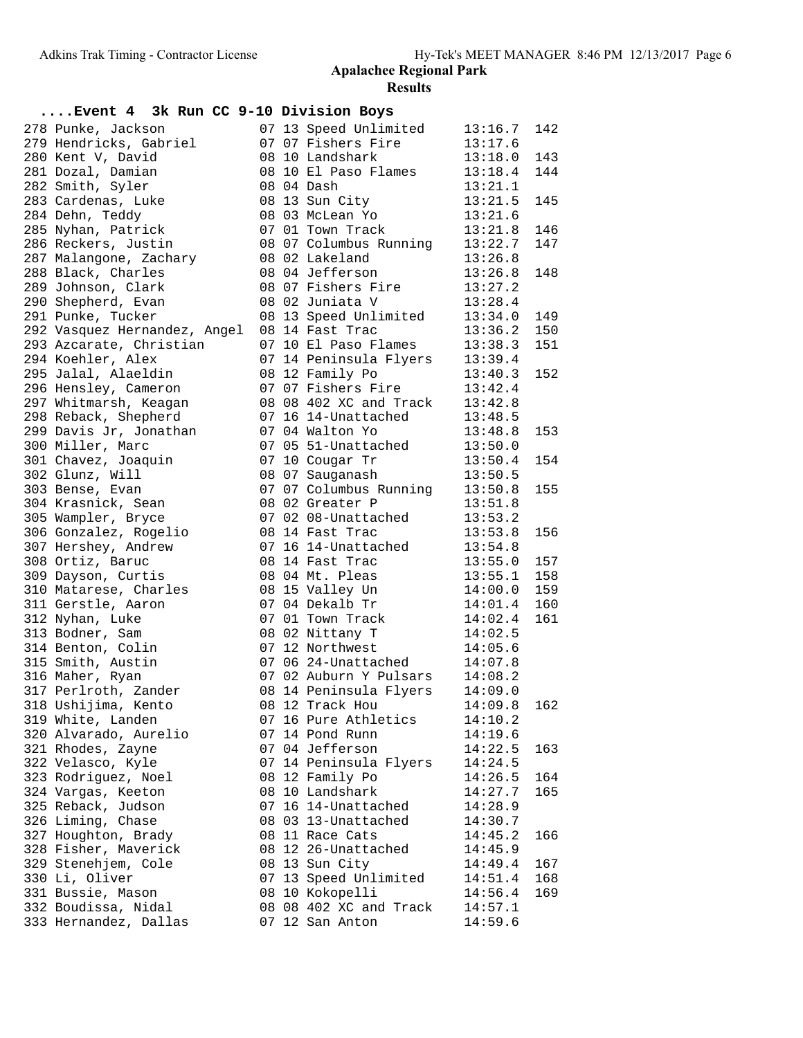| Event 4 3k Run CC 9-10 Division Boys |  |                                           |         |     |
|--------------------------------------|--|-------------------------------------------|---------|-----|
| 278 Punke, Jackson                   |  | 07 13 Speed Unlimited                     | 13:16.7 | 142 |
| 279 Hendricks, Gabriel               |  | 07 07 Fishers Fire                        | 13:17.6 |     |
| 280 Kent V, David                    |  | 08 10 Landshark                           | 13:18.0 | 143 |
| 281 Dozal, Damian                    |  | 08 10 El Paso Flames                      | 13:18.4 | 144 |
| 282 Smith, Syler                     |  | 08 04 Dash                                | 13:21.1 |     |
| 283 Cardenas, Luke                   |  | 08 13 Sun City                            | 13:21.5 | 145 |
| 284 Dehn, Teddy                      |  | 08 03 McLean Yo                           | 13:21.6 |     |
| 285 Nyhan, Patrick                   |  | 07 01 Town Track                          | 13:21.8 | 146 |
| 286 Reckers, Justin                  |  | 08 07 Columbus Running                    | 13:22.7 | 147 |
| 287 Malangone, Zachary               |  | 08 02 Lakeland                            | 13:26.8 |     |
| 288 Black, Charles                   |  | 08 04 Jefferson                           | 13:26.8 | 148 |
| 289 Johnson, Clark                   |  | 08 07 Fishers Fire                        | 13:27.2 |     |
| 290 Shepherd, Evan                   |  | 08 02 Juniata V                           | 13:28.4 |     |
| 291 Punke, Tucker                    |  | 08 13 Speed Unlimited                     | 13:34.0 | 149 |
| 292 Vasquez Hernandez, Angel         |  | 08 14 Fast Trac                           | 13:36.2 | 150 |
| 293 Azcarate, Christian              |  | 07 10 El Paso Flames                      | 13:38.3 | 151 |
| 294 Koehler, Alex                    |  | 07 14 Peninsula Flyers                    | 13:39.4 |     |
| 295 Jalal, Alaeldin                  |  | 08 12 Family Po                           | 13:40.3 | 152 |
| 296 Hensley, Cameron                 |  | 07 07 Fishers Fire                        | 13:42.4 |     |
| 297 Whitmarsh, Keagan                |  | 08 08 402 XC and Track                    | 13:42.8 |     |
| 298 Reback, Shepherd                 |  | 07 16 14-Unattached                       | 13:48.5 |     |
| 299 Davis Jr, Jonathan               |  | 07 04 Walton Yo                           | 13:48.8 | 153 |
| 300 Miller, Marc                     |  | 07 05 51-Unattached                       | 13:50.0 |     |
| 301 Chavez, Joaquin                  |  | 07 10 Cougar Tr                           | 13:50.4 | 154 |
| 302 Glunz, Will                      |  | 08 07 Sauganash                           | 13:50.5 |     |
| 303 Bense, Evan                      |  | 07 07 Columbus Running<br>08 02 Greater P | 13:50.8 | 155 |
| 304 Krasnick, Sean                   |  | 08 02 Greater P                           | 13:51.8 |     |
| 305 Wampler, Bryce                   |  | 07 02 08-Unattached                       | 13:53.2 |     |
| 306 Gonzalez, Rogelio                |  | 08 14 Fast Trac                           | 13:53.8 | 156 |
| 307 Hershey, Andrew                  |  | 07 16 14-Unattached                       | 13:54.8 |     |
| 308 Ortiz, Baruc                     |  | 08  14  Fast Trac<br>08  04  Mt. Pleas    | 13:55.0 | 157 |
| 309 Dayson, Curtis                   |  |                                           | 13:55.1 | 158 |
| 310 Matarese, Charles                |  | 08 15 Valley Un                           | 14:00.0 | 159 |
| 311 Gerstle, Aaron                   |  | 07 04 Dekalb Tr                           | 14:01.4 | 160 |
| 312 Nyhan, Luke                      |  | 07 01 Town Track                          | 14:02.4 | 161 |
| 313 Bodner, Sam                      |  | 08 02 Nittany T                           | 14:02.5 |     |
| 314 Benton, Colin                    |  | 07 12 Northwest                           | 14:05.6 |     |
| 315 Smith, Austin                    |  | 07 06 24-Unattached                       | 14:07.8 |     |
| 316 Maher, Ryan                      |  | 07 02 Auburn Y Pulsars 14:08.2            |         |     |
| 317 Perlroth, Zander                 |  | 08 14 Peninsula Flyers 14:09.0            |         |     |
| 318 Ushijima, Kento                  |  | 08 12 Track Hou                           | 14:09.8 | 162 |
| 319 White, Landen                    |  | 07 16 Pure Athletics                      | 14:10.2 |     |
| 320 Alvarado, Aurelio                |  | 07 14 Pond Runn                           | 14:19.6 |     |
| 321 Rhodes, Zayne                    |  | 07 04 Jefferson                           | 14:22.5 | 163 |
| 322 Velasco, Kyle                    |  | 07 14 Peninsula Flyers                    | 14:24.5 |     |
| 323 Rodriguez, Noel                  |  | 08 12 Family Po                           | 14:26.5 | 164 |
| 324 Vargas, Keeton                   |  | 08 10 Landshark                           | 14:27.7 | 165 |
| 325 Reback, Judson                   |  | 07 16 14-Unattached                       | 14:28.9 |     |
| 326 Liming, Chase                    |  | 08 03 13-Unattached                       | 14:30.7 |     |
| 327 Houghton, Brady                  |  | 08 11 Race Cats                           | 14:45.2 | 166 |
| 328 Fisher, Maverick                 |  | 08 12 26-Unattached                       | 14:45.9 |     |
| 329 Stenehjem, Cole                  |  | 08 13 Sun City                            | 14:49.4 | 167 |
| 330 Li, Oliver                       |  | 07 13 Speed Unlimited                     | 14:51.4 | 168 |
| 331 Bussie, Mason                    |  | 08 10 Kokopelli                           | 14:56.4 | 169 |
| 332 Boudissa, Nidal                  |  | 08 08 402 XC and Track                    | 14:57.1 |     |
| 333 Hernandez, Dallas                |  | 07 12 San Anton                           | 14:59.6 |     |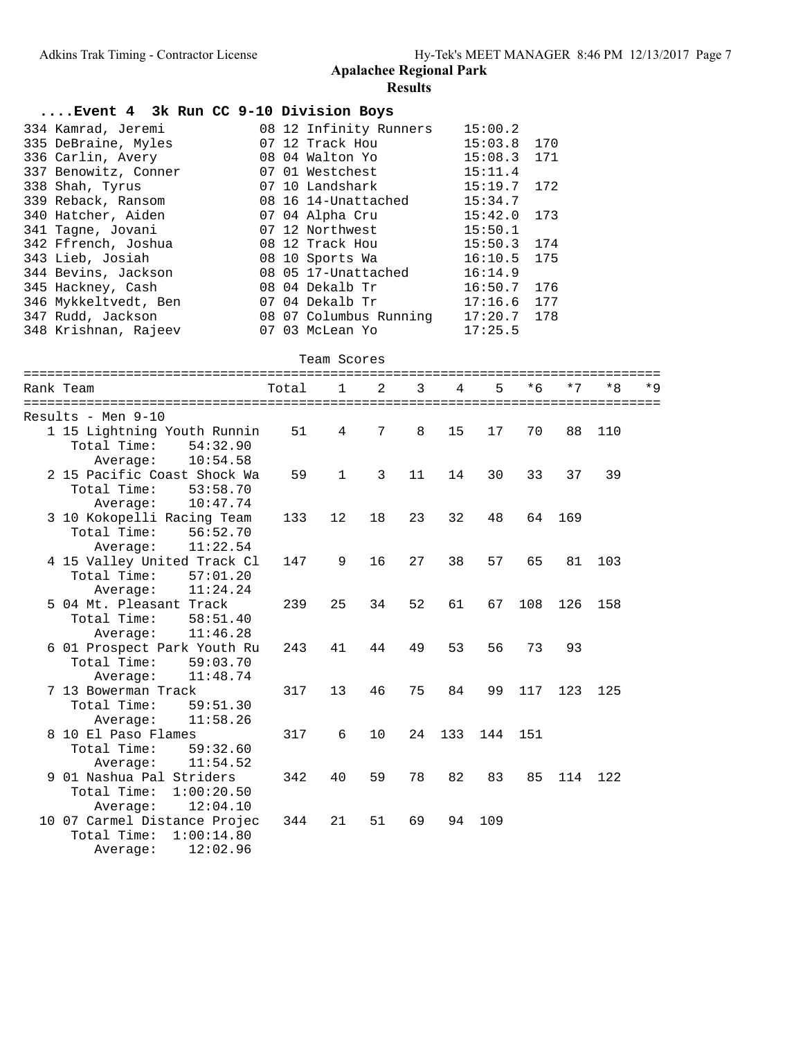| Event 4 3k Run CC 9-10 Division Boys |  |                        |               |  |
|--------------------------------------|--|------------------------|---------------|--|
| 334 Kamrad, Jeremi                   |  | 08 12 Infinity Runners | 15:00.2       |  |
| 335 DeBraine, Myles                  |  | 07 12 Track Hou        | $15:03.8$ 170 |  |
| 336 Carlin, Avery                    |  | 08 04 Walton Yo        | $15:08.3$ 171 |  |
| 337 Benowitz, Conner                 |  | 07 Ol Westchest        | 15:11.4       |  |
| 338 Shah, Tyrus                      |  | 07 10 Landshark        | 15:19.7 172   |  |
| 339 Reback, Ransom                   |  | 08 16 14-Unattached    | 15:34.7       |  |
| 340 Hatcher, Aiden                   |  | 07 04 Alpha Cru        | $15:42.0$ 173 |  |
| 341 Tagne, Jovani                    |  | 07 12 Northwest        | 15:50.1       |  |
| 342 Ffrench, Joshua                  |  | 08 12 Track Hou        | $15:50.3$ 174 |  |
| 343 Lieb, Josiah                     |  | 08 10 Sports Wa        | $16:10.5$ 175 |  |
| 344 Bevins, Jackson                  |  | 08  05  17-Unattached  | 16:14.9       |  |
| 345 Hackney, Cash                    |  | 08 04 Dekalb Tr        | $16:50.7$ 176 |  |
| 346 Mykkeltvedt, Ben                 |  | 07 04 Dekalb Tr        | $17:16.6$ 177 |  |
| 347 Rudd, Jackson                    |  | 08 07 Columbus Running | $17:20.7$ 178 |  |
| 348 Krishnan, Rajeev                 |  | 07 03 McLean Yo        | 17:25.5       |  |

Team Scores

| Rank Team                                                                         | Total | $\mathbf{1}$      | 2  | 3  | 4   | 5   | $*6$ | $*7$ | $*8$ | $*Q$ |
|-----------------------------------------------------------------------------------|-------|-------------------|----|----|-----|-----|------|------|------|------|
| Results - Men 9-10                                                                |       |                   |    |    |     |     |      |      |      |      |
| 1 15 Lightning Youth Runnin<br>Total Time:<br>54:32.90<br>10:54.58<br>Average:    | 51    | 4                 | 7  | 8  | 15  | 17  | 70   | 88   | 110  |      |
| 2 15 Pacific Coast Shock Wa<br>Total Time:<br>53:58.70<br>10:47.74<br>Average:    | 59    | $\mathbf{1}$      | 3  | 11 | 14  | 30  | 33   | 37   | 39   |      |
| 3 10 Kokopelli Racing Team<br>Total Time:<br>56:52.70<br>11:22.54<br>Average:     | 133   | $12 \overline{ }$ | 18 | 23 | 32  | 48  | 64   | 169  |      |      |
| 4 15 Valley United Track Cl<br>Total Time: $57:01.20$<br>11:24.24<br>Average:     | 147   | 9                 | 16 | 27 | 38  | 57  | 65   | 81   | 103  |      |
| 5 04 Mt. Pleasant Track<br>Total Time:<br>58:51.40<br>11:46.28<br>Average:        | 239   | 25                | 34 | 52 | 61  | 67  | 108  | 126  | 158  |      |
| 6 01 Prospect Park Youth Ru<br>Total Time:<br>59:03.70<br>11:48.74<br>Average:    | 243   | 41                | 44 | 49 | 53  | 56  | 73   | 93   |      |      |
| 7 13 Bowerman Track<br>Total Time:<br>59:51.30<br>11:58.26<br>Average:            | 317   | 13                | 46 | 75 | 84  | 99  | 117  | 123  | 125  |      |
| 8 10 El Paso Flames<br>Total Time:<br>59:32.60<br>11:54.52<br>Average:            | 317   | 6                 | 10 | 24 | 133 | 144 | 151  |      |      |      |
| 9 01 Nashua Pal Striders<br>Total Time:<br>1:00:20.50<br>12:04.10<br>Average:     | 342   | 40                | 59 | 78 | 82  | 83  | 85   | 114  | 122  |      |
| 10 07 Carmel Distance Projec<br>Total Time:<br>1:00:14.80<br>12:02.96<br>Average: | 344   | 21                | 51 | 69 | 94  | 109 |      |      |      |      |